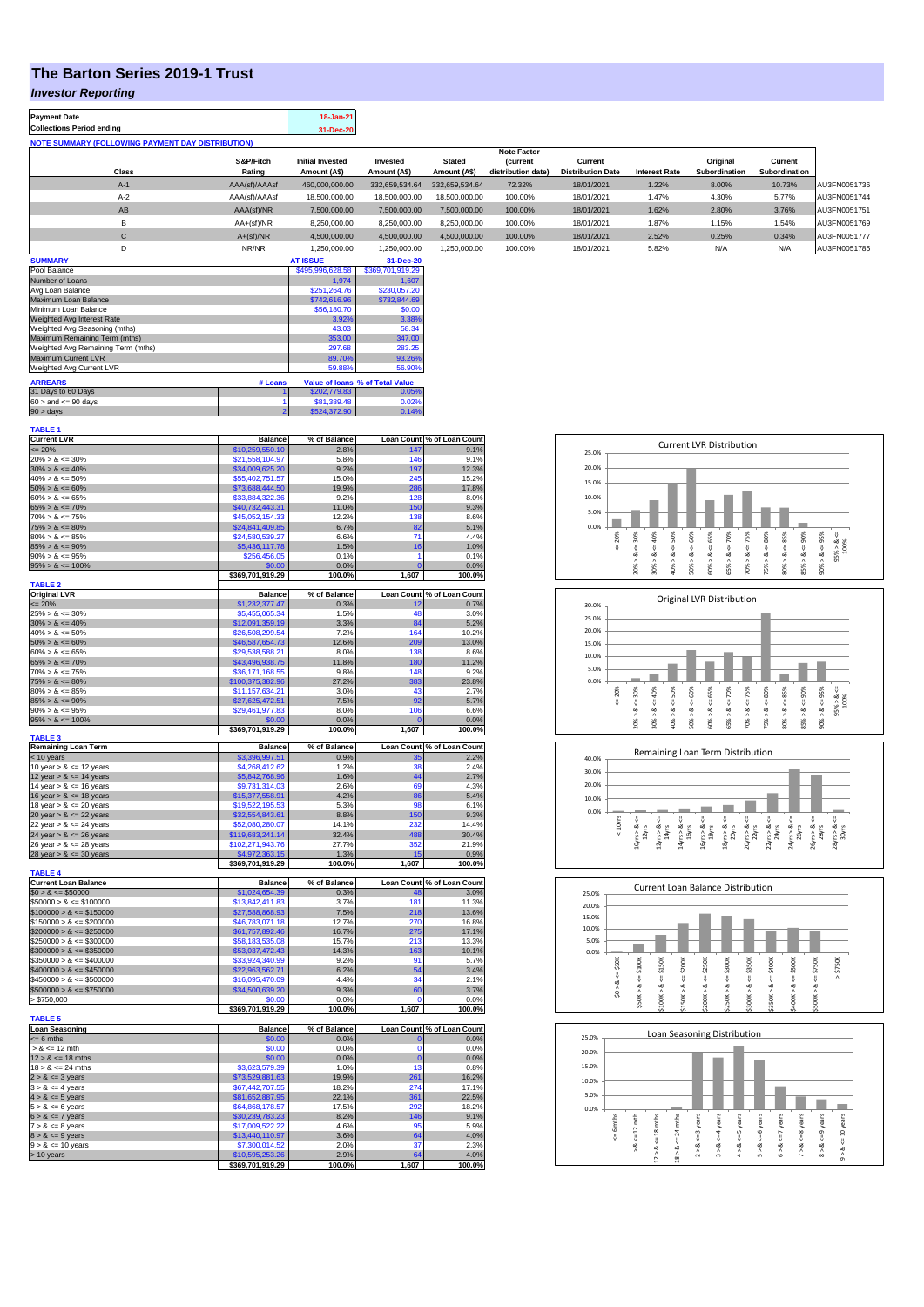## **The Barton Series 2019-1 Trust**

## *Investor Reporting*

| <b>Payment Date</b><br><b>Collections Period ending</b>  |                     | 18-Jan-21<br>31-Dec-20                  |                          |                               |                                                            |                                     |                      |                           |                          |              |
|----------------------------------------------------------|---------------------|-----------------------------------------|--------------------------|-------------------------------|------------------------------------------------------------|-------------------------------------|----------------------|---------------------------|--------------------------|--------------|
| <b>NOTE SUMMARY (FOLLOWING PAYMENT DAY DISTRIBUTION)</b> |                     |                                         |                          |                               |                                                            |                                     |                      |                           |                          |              |
| Class                                                    | S&P/Fitch<br>Rating | <b>Initial Invested</b><br>Amount (A\$) | Invested<br>Amount (A\$) | <b>Stated</b><br>Amount (A\$) | <b>Note Factor</b><br><b>Current</b><br>distribution date) | Current<br><b>Distribution Date</b> | <b>Interest Rate</b> | Original<br>Subordination | Current<br>Subordination |              |
| $A-1$                                                    | AAA(sf)/AAAsf       | 460.000.000.00                          | 332.659.534.64           | 332.659.534.64                | 72.32%                                                     | 18/01/2021                          | 1.22%                | 8.00%                     | 10.73%                   | AU3FN0051736 |
| $A-2$                                                    | AAA(sf)/AAAsf       | 18,500,000,00                           | 18,500,000,00            | 18.500.000.00                 | 100.00%                                                    | 18/01/2021                          | 1.47%                | 4.30%                     | 5.77%                    | AU3FN0051744 |
| AB                                                       | AAA(sf)/NR          | 7,500,000.00                            | 7,500,000.00             | 7,500,000.00                  | 100.00%                                                    | 18/01/2021                          | 1.62%                | 2.80%                     | 3.76%                    | AU3FN0051751 |
| B                                                        | AA+(sf)/NR          | 8.250.000.00                            | 8,250,000.00             | 8,250,000.00                  | 100.00%                                                    | 18/01/2021                          | 1.87%                | 1.15%                     | 1.54%                    | AU3FN0051769 |
| $\sim$<br>Ü                                              | $A+(sf)/NR$         | 4.500.000.00                            | 4,500,000.00             | 4.500.000.00                  | 100.00%                                                    | 18/01/2021                          | 2.52%                | 0.25%                     | 0.34%                    | AU3FN0051777 |
| D                                                        | NR/NR               | 1.250.000.00                            | 1.250.000.00             | 1.250.000.00                  | 100.00%                                                    | 18/01/2021                          | 5.82%                | N/A                       | N/A                      | AU3FN0051785 |
| A                                                        |                     | 17.0011                                 | $\sim$ $\sim$ $\sim$     |                               |                                                            |                                     |                      |                           |                          |              |

| <b>SUMMARY</b>                     |                  | <b>AT ISSUE</b>  | 31-Dec-20                       |  |
|------------------------------------|------------------|------------------|---------------------------------|--|
| Pool Balance                       | \$495,996,628.58 | \$369,701,919.29 |                                 |  |
| Number of Loans                    | 1.974            | 1.607            |                                 |  |
| Avg Loan Balance                   | \$251.264.76     | \$230,057.20     |                                 |  |
| Maximum Loan Balance               | \$742,616.96     | \$732,844.69     |                                 |  |
| Minimum Loan Balance               | \$56,180.70      | \$0.00           |                                 |  |
| Weighted Avg Interest Rate         | 3.92%            | 3.38%            |                                 |  |
| Weighted Avg Seasoning (mths)      | 43.03            | 58.34            |                                 |  |
| Maximum Remaining Term (mths)      | 353.00           | 347.00           |                                 |  |
| Weighted Avg Remaining Term (mths) | 297.68           | 283.25           |                                 |  |
| Maximum Current LVR                | 89.70%           | 93.26%           |                                 |  |
| Weighted Avg Current LVR           | 59.88%           | 56.90%           |                                 |  |
| <b>ARREARS</b>                     | # Loans          |                  | Value of Ioans % of Total Value |  |
| 31 Days to 60 Days                 |                  | \$202,779.83     | 0.05%                           |  |
| $60 >$ and $\leq 90$ days          |                  | \$81,389.48      | 0.02%                           |  |
| $90 >$ days                        | \$524.372.90     | 0.14%            |                                 |  |

| TABLE 1                     |                                  |                |                   |                            |
|-----------------------------|----------------------------------|----------------|-------------------|----------------------------|
| <b>Current LVR</b>          | <b>Balance</b>                   | % of Balance   |                   | Loan Count % of Loan Count |
| $= 20%$                     | \$10,259,550.10                  | 2.8%           | 147               | 9.1%                       |
| $20\% > 8 \le 30\%$         | \$21,558,104.97                  | 5.8%           | 146               | 9.1%                       |
|                             |                                  |                |                   |                            |
| $30\% > 8 \le 40\%$         | \$34,009,625.20                  | 9.2%           | 197               | 12.3%                      |
| $40\% > 8 \le 50\%$         | \$55,402,751.57                  | 15.0%          | 245               | 15.2%                      |
| $50\% > 8 \le 60\%$         | \$73,688,444.50                  | 19.9%          | 286               | 17.8%                      |
| $60\% > 8 \le 65\%$         | \$33,884,322.36                  | 9.2%           | 128               | 8.0%                       |
| $65\% > 8 \le 70\%$         | \$40,732,443.31                  | 11.0%          | 150               | 9.3%                       |
|                             |                                  |                |                   |                            |
| $70\% > 8 \le 75\%$         | \$45,052,154.33                  | 12.2%          | 138               | 8.6%                       |
| $75\% > 8 \le 80\%$         | \$24,841,409.85                  | 6.7%           | 82                | 5.1%                       |
| $80\% > 8 \le 85\%$         | \$24,580,539.27                  | 6.6%           | 71                | 4.4%                       |
| $85\% > 8 \le 90\%$         | \$5,436,117.78                   | 1.5%           | 16                | 1.0%                       |
| $90\% > 8 \le 95\%$         |                                  | 0.1%           | 1                 | 0.1%                       |
|                             | \$256,456.05                     |                |                   |                            |
| $95\% > 8 \le 100\%$        | \$0.00                           | 0.0%           | $\overline{0}$    | 0.0%                       |
|                             | \$369,701,919.29                 | 100.0%         | 1,607             | 100.0%                     |
| <b>TABLE 2</b>              |                                  |                |                   |                            |
| <b>Original LVR</b>         | <b>Balance</b>                   | % of Balance   | <b>Loan Count</b> | % of Loan Count            |
| $\leq$ 20%                  | \$1,232,377.47                   | 0.3%           | 12                | 0.7%                       |
|                             |                                  |                | 48                |                            |
| $25\% > 8 \le 30\%$         | \$5,455,065.34                   | 1.5%           |                   | 3.0%                       |
| $30\% > 8 \le 40\%$         | \$12,091,359.19                  | 3.3%           | 84                | 5.2%                       |
| $40\% > 8 \le 50\%$         | \$26,508,299.54                  | 7.2%           | 164               | 10.2%                      |
| $50\% > 8 \le 60\%$         | \$46,587,654.73                  | 12.6%          | 209               | 13.0%                      |
| $60\% > 8 \le 65\%$         | \$29,538,588.21                  | 8.0%           | 138               | 8.6%                       |
|                             |                                  |                |                   |                            |
| $65\% > 8 \le 70\%$         | \$43,496,938.75                  | 11.8%          | 180               | 11.2%                      |
| $70\% > 8 \le 75\%$         | \$36,171,168.55                  | 9.8%           | 148               | 9.2%                       |
| $75\% > 8 \le 80\%$         | \$100,375,382.96                 | 27.2%          | 383               | 23.8%                      |
| $80\% > 8 \le 85\%$         | \$11,157,634.21                  | 3.0%           | 43                | 2.7%                       |
|                             |                                  |                |                   |                            |
| $85\% > 8 \le 90\%$         | \$27,625,472.51                  | 7.5%           | 92                | 5.7%                       |
| $90\% > 8 \le 95\%$         | \$29,461,977.83                  | 8.0%           | 106               | 6.6%                       |
| $95\% > 8 \le 100\%$        | \$0.00                           | 0.0%           | C                 | 0.0%                       |
|                             | \$369,701,919.29                 | 100.0%         | 1,607             | 100.0%                     |
| <b>TABLE 3</b>              |                                  |                |                   |                            |
| <b>Remaining Loan Term</b>  | <b>Balance</b>                   | % of Balance   |                   | Loan Count % of Loan Count |
|                             | \$3,396,997.51                   |                |                   | 2.2%                       |
| < 10 years                  |                                  | 0.9%           |                   |                            |
| 10 year $> 8 \le 12$ years  | \$4,268,412.62                   | 1.2%           | 38                | 2.4%                       |
| 12 year $> 8 \le 14$ years  | \$5,842,768.96                   | 1.6%           | 44                | 2.7%                       |
| 14 year $> 8 \le 16$ years  | \$9,731,314.03                   | 2.6%           | 69                | 4.3%                       |
| 16 year $> 8 \le 18$ years  | \$15,377,558.91                  | 4.2%           | 86                | 5.4%                       |
|                             |                                  |                |                   |                            |
| 18 year $> 8 \le 20$ years  | \$19,522,195.53                  | 5.3%           | 98                | 6.1%                       |
|                             |                                  |                |                   |                            |
| 20 year $> 8 \le 22$ years  | \$32,554,843.61                  | 8.8%           | 150               | 9.3%                       |
|                             |                                  |                | 232               |                            |
| 22 year $> 8 \le 24$ years  | \$52,080,280.07                  | 14.1%          |                   | 14.4%                      |
| 24 year $> 8 \le 26$ years  | \$119,683,241.14                 | 32.4%          | 488               | 30.4%                      |
| 26 year $> 8 \le 28$ years  | \$102,271,943.76                 | 27.7%          | 352               | 21.9%                      |
| 28 year $> 8 \le 30$ years  | \$4,972,363.15                   | 1.3%           | 15                | 0.9%                       |
|                             | \$369,701,919.29                 | 100.0%         | 1,607             | 100.0%                     |
| <b>TABLE 4</b>              |                                  |                |                   |                            |
|                             |                                  |                |                   |                            |
| <b>Current Loan Balance</b> | <b>Balance</b>                   | % of Balance   | <b>Loan Count</b> | % of Loan Count            |
| $$0 > 8 \le $50000$         | \$1,024,654.39                   | 0.3%           | 48                | 3.0%                       |
| $$50000 > 8 \le $100000$    | \$13,842,411.83                  | 3.7%           | 181               | 11.3%                      |
| $$100000 > 8 \le $150000$   | \$27,588,868.93                  | 7.5%           | 218               | 13.6%                      |
|                             |                                  |                |                   |                            |
| $$150000 > 8 \le $200000$   | \$46,783,071.18                  | 12.7%          | 270               | 16.8%                      |
| $$200000 > 8 \le $250000$   | \$61,757,892.46                  | 16.7%          | 275               | 17.1%                      |
| $$250000 > 8 \leq $300000$  | \$58,183,535.08                  | 15.7%          | 213               | 13.3%                      |
| $$300000 > 8 \leq $350000$  | \$53,037,472.43                  | 14.3%          | 163               | 10.1%                      |
| $$350000 > 8 \le $400000$   | \$33,924,340.99                  | 9.2%           | 91                | 5.7%                       |
|                             |                                  |                |                   |                            |
| $$400000 > 8 \le $450000$   | \$22,963,562.71                  | 6.2%           | 54                | 3.4%                       |
| $$450000 > 8 \le $500000$   | \$16,095,470.09                  | 4.4%           | 34                | 2.1%                       |
| $$500000 > 8 \le $750000$   | \$34,500,639.20                  | 9.3%           | 60                | 3.7%                       |
| > \$750,000                 | \$0.00                           | 0.0%           | $\Omega$          | 0.0%                       |
|                             | \$369,701,919.29                 | 100.0%         |                   | 100.0%                     |
|                             |                                  |                | 1,607             |                            |
| <b>TABLE 5</b>              |                                  |                |                   |                            |
| Loan Seasoning              | <b>Balance</b>                   | % of Balance   |                   | Loan Count % of Loan Count |
| $= 6$ mths                  | \$0.00                           | 0.0%           | $\mathbf{0}$      | 0.0%                       |
| $> 8 \le 12$ mth            | \$0.00                           | 0.0%           | O                 | 0.0%                       |
|                             |                                  | 0.0%           | $\mathbf 0$       | 0.0%                       |
| $12 > 8 \le 18$ mths        | \$0.00                           |                |                   |                            |
| $18 > 8 \le 24$ mths        | \$3,623,579.39                   | 1.0%           | 13                | 0.8%                       |
| $2 > 8 \le 3$ years         | \$73,529,881.63                  | 19.9%          | 261               | 16.2%                      |
| $3 > 8 \leq 4$ years        | \$67,442,707.55                  | 18.2%          | 274               | 17.1%                      |
| $4 > 8 \le 5$ years         | \$81,652,887.95                  | 22.1%          | 361               | 22.5%                      |
|                             |                                  |                | 292               |                            |
| $5 > 8 \le 6$ years         | \$64,868,178.57                  | 17.5%          |                   | 18.2%                      |
| $6 > 8 \le 7$ years         | \$30,239,783.23                  | 8.2%           | 146               | 9.1%                       |
| $7 > 8 \le 8$ years         | \$17,009,522.22                  | 4.6%           | 9F                | 5.9%                       |
| $8 > 8 \le 9$ years         | \$13,440,110.97                  | 3.6%           | 64                | 4.0%                       |
| $9 > 8 \le 10$ years        | \$7,300,014.52                   | 2.0%           | 37                | 2.3%                       |
|                             |                                  |                |                   |                            |
| > 10 years                  | \$10,595,253<br>\$369,701,919.29 | 2.9%<br>100.0% | 1,607             | 4.0%<br>100.0%             |

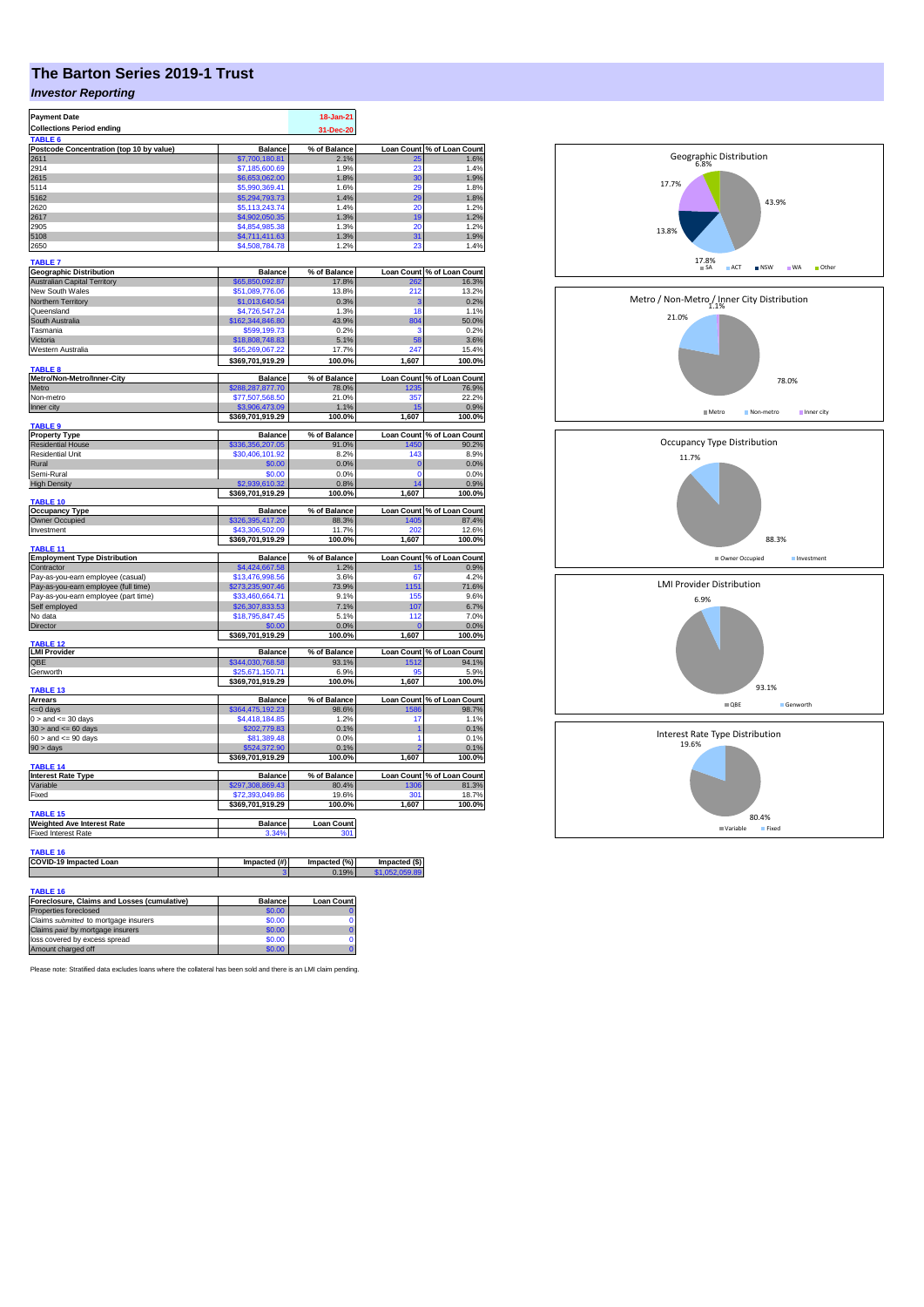## **The Barton Series 2019-1 Trust**

## *Investor Reporting*

| <b>Payment Date</b>                         |                                  | 18-Jan-21             |                                 |                                         |
|---------------------------------------------|----------------------------------|-----------------------|---------------------------------|-----------------------------------------|
| <b>Collections Period ending</b>            |                                  | 31-Dec-20             |                                 |                                         |
| TABLE <sub>6</sub>                          |                                  |                       |                                 |                                         |
| Postcode Concentration (top 10 by value)    | <b>Balance</b>                   | % of Balance          |                                 | Loan Count % of Loan Count              |
| 2611<br>2914                                | \$7,700,180.81<br>\$7,185,600.69 | 2.1%<br>1.9%          | 25<br>25                        | 1.6%<br>1.4%                            |
| 2615                                        | \$6,653,062.00                   | 1.8%                  | 30                              | 1.9%                                    |
| 5114                                        | \$5,990,369.41                   | 1.6%                  | 29                              | 1.8%                                    |
| 5162                                        | \$5,294,793.73                   | 1.4%                  | 29                              | 1.8%                                    |
| 2620                                        | \$5,113,243.74                   | 1.4%                  | 20                              | 1.2%                                    |
| 2617                                        | \$4,902,050.35                   | 1.3%                  | 19                              | 1.2%                                    |
| 2905                                        | \$4,854,985.38                   | 1.3%                  | 20                              | 1.2%                                    |
| 5108                                        | \$4,711,411.63                   | 1.3%                  | 31                              | 1.9%                                    |
| 2650                                        | \$4,508,784.78                   | 1.2%                  | 23                              | 1.4%                                    |
|                                             |                                  |                       |                                 |                                         |
| TABLE 7                                     |                                  |                       |                                 |                                         |
| <b>Geographic Distribution</b>              | <b>Balance</b>                   | % of Balance          |                                 |                                         |
| <b>Australian Capital Territory</b>         | 65.850.092.87                    | 17.8%                 |                                 | Loan Count % of Loan Count<br>262 16.3% |
| New South Wales                             | \$51,089,776.06                  | 13.8%                 | 212                             | 13.2%                                   |
| Northern Territory                          | \$1,013,640.54                   | 0.3%                  | G                               | 0.2%                                    |
| Queensland                                  | \$4,726,547,24                   | 1.3%                  | 18                              | 1.1%                                    |
| South Australia                             | 162,344,846.80                   | 43.9%                 | 804                             | 50.0%                                   |
| Tasmania                                    | \$599.199.73                     | 0.2%                  | s                               | 0.2%                                    |
| Victoria                                    | \$18,808,748.83                  | 5.1%                  | 58                              | 3.6%                                    |
| Western Australia                           | \$65,269,067.22                  | 17.7%                 | 247                             | 15.4%                                   |
|                                             | \$369,701,919.29                 | 100.0%                | 1,607                           | 100.0%                                  |
| TABLE <sub>8</sub>                          |                                  |                       |                                 |                                         |
| Metro/Non-Metro/Inner-City                  | <b>Balance</b>                   | % of Balance          |                                 | Loan Count % of Loan Count              |
| Metro                                       | \$288,287,877.70                 | 78.0%                 | 1235                            | 76.9%                                   |
| Non-metro                                   | \$77,507,568.50                  | 21.0%                 | 357                             | 22.2%                                   |
| Inner city                                  | \$3,906,473.09                   | 1.1%                  | 15                              | 0.9%                                    |
|                                             | \$369,701,919.29                 | 100.0%                | 1.607                           | 100.0%                                  |
| TABLE 9                                     |                                  |                       |                                 |                                         |
| <b>Property Type</b>                        | <b>Balance</b>                   | % of Balance          | <b>Loan Count</b>               | % of Loan Count                         |
| <b>Residential House</b>                    | \$336,356,207.05                 | 91.0%                 | 1450                            | 90.2%                                   |
| <b>Residential Unit</b>                     | \$30,406,101.92                  | 8.2%                  | 143                             | 8.9%                                    |
| Rural                                       | \$0.00                           | 0.0%                  | $\overline{0}$                  | 0.0%                                    |
| Semi-Rural                                  | \$0.00                           | 0.0%                  | $\Omega$                        | 0.0%                                    |
| <b>High Density</b>                         | \$2,939,610.32                   | 0.8%                  | 14                              | $\frac{0.9\%}{100.0\%}$                 |
|                                             | \$369,701,919.29                 | 100.0%                | 1,607                           |                                         |
| <b>TABLE 10</b>                             | <b>Balance</b>                   | % of Balance          |                                 | Loan Count % of Loan Count              |
| <b>Occupancy Type</b><br>Owner Occupied     | \$326,395,417.20                 | 88.3%                 | 1405                            | 87.4%                                   |
| Investment                                  | \$43,306,502.09                  | 11.7%                 | 20:                             | 12.6%                                   |
|                                             | \$369,701,919.29                 | 100.0%                | 1,607                           | 100.0%                                  |
| TABLE 11                                    |                                  |                       |                                 |                                         |
| <b>Employment Type Distribution</b>         | <b>Balance</b>                   | % of Balance          |                                 | Loan Count % of Loan Count              |
| Contractor                                  | \$4,424,667.58                   | 1.2%                  | 15                              | 0.9%                                    |
| Pay-as-you-earn employee (casual)           | \$13,476,998.56                  | 3.6%                  | 67                              | 4.2%                                    |
| Pay-as-you-earn employee (full time)        | \$273,235,907.46                 | 73.9%                 | 1151                            | 71.6%                                   |
| Pay-as-you-earn employee (part time)        | \$33,460,664.71                  | 9.1%                  | 155                             | 9.6%                                    |
| Self employed                               | \$26,307,833.53                  | 7.1%                  | 107                             | 6.7%                                    |
| No data                                     | \$18,795,847.45                  | 5.1%                  | 112                             | 7.0%                                    |
| Director                                    | \$0.00                           | 0.0%                  | C                               | 0.0%                                    |
|                                             | \$369,701,919.29                 | 100.0%                | 1,607                           | 100.0%                                  |
| <b>TABLE 12</b>                             |                                  |                       |                                 |                                         |
| <b>LMI Provider</b>                         | <b>Balance</b>                   | % of Balance          |                                 | Loan Count % of Loan Count              |
| OBE                                         | \$344,030,768.58                 | 93.1%                 | 1512                            | 94.1%                                   |
| Genworth                                    | \$25,671,150.71                  | 6.9%                  | 9f                              | 5.9%                                    |
|                                             | \$369,701,919.29                 | 100.0%                | 1,607                           | 100.0%                                  |
| TABLE <sub>13</sub>                         |                                  |                       |                                 |                                         |
| Arrears                                     | <b>Balance</b>                   | % of Balance          |                                 | Loan Count % of Loan Count              |
| $= 0$ days                                  | \$364.475.192.23                 | 98.6%                 | 1586                            | 98.7%                                   |
| $0 >$ and $\leq$ 30 days                    | \$4,418,184.85                   | 1.2%                  | 17                              | 1.1%                                    |
| $30 >$ and $\leq 60$ days                   | \$202,779.83                     | 0.1%                  | 1                               | 0.1%                                    |
| $60 >$ and $\lt = 90$ days                  | \$81,389.48                      | 0.0%                  | 1                               | 0.1%                                    |
| $90 > \text{days}$                          | 524,372.90                       | 0.1%                  |                                 | 0.1%                                    |
|                                             | \$369,701,919.29                 | 100.0%                | 1,607                           | 100.0%                                  |
| TABLE <sub>14</sub>                         |                                  |                       |                                 |                                         |
| <b>Interest Rate Type</b>                   | <b>Balance</b>                   | % of Balance          |                                 | Loan Count % of Loan Count              |
| Variable                                    | \$297.308.869.43                 | 80.4%                 | 1306                            | 81.3%                                   |
| Fixed                                       | \$72,393,049.86                  | 19.6%                 | 301                             | 18.7%                                   |
|                                             | \$369,701,919.29                 | 100.0%                | 1,607                           | 100.0%                                  |
| TABLE 15                                    |                                  |                       |                                 |                                         |
| <b>Weighted Ave Interest Rate</b>           | <b>Balance</b>                   | <b>Loan Count</b>     |                                 |                                         |
| <b>Fixed Interest Rate</b>                  | 3.34%                            | 301                   |                                 |                                         |
|                                             |                                  |                       |                                 |                                         |
| TABLE 16                                    |                                  |                       |                                 |                                         |
| COVID-19 Impacted Loan                      | Impacted (#)                     | Impacted (%)<br>0.19% | Impacted (\$)<br>\$1.052.059.89 |                                         |
|                                             |                                  |                       |                                 |                                         |
| <b>TABLE 16</b>                             |                                  |                       |                                 |                                         |
| Foreclosure, Claims and Losses (cumulative) | <b>Balance</b>                   |                       |                                 |                                         |
|                                             | 00.08                            | <b>Loan Count</b>     |                                 |                                         |
| Properties foreclosed                       |                                  |                       |                                 |                                         |



Please note: Stratified data excludes loans where the collateral has been sold and there is an LMI claim pending.